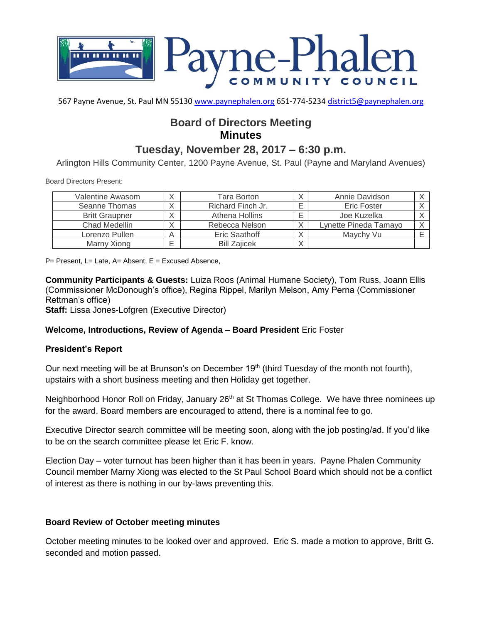

567 Payne Avenue, St. Paul MN 55130 [www.paynephalen.org](http://www.paynephalen.org/) 651-774-5234 [district5@paynephalen.org](mailto:district5@paynephalen.org)

# **Board of Directors Meeting Minutes**

# **Tuesday, November 28, 2017 – 6:30 p.m.**

Arlington Hills Community Center, 1200 Payne Avenue, St. Paul (Payne and Maryland Avenues)

Board Directors Present:

| Valentine Awasom      |              | Tara Borton         | Annie Davidson        |  |
|-----------------------|--------------|---------------------|-----------------------|--|
| Seanne Thomas         |              | Richard Finch Jr.   | Eric Foster           |  |
| <b>Britt Graupner</b> | $\checkmark$ | Athena Hollins      | Joe Kuzelka           |  |
| Chad Medellin         | $\checkmark$ | Rebecca Nelson      | Lynette Pineda Tamayo |  |
| Lorenzo Pullen        | Α            | Eric Saathoff       | Maychy Vu             |  |
| Marny Xiong           |              | <b>Bill Zajicek</b> |                       |  |

 $P=$  Present, L= Late, A= Absent, E = Excused Absence,

**Community Participants & Guests:** Luiza Roos (Animal Humane Society), Tom Russ, Joann Ellis (Commissioner McDonough's office), Regina Rippel, Marilyn Melson, Amy Perna (Commissioner Rettman's office)

**Staff:** Lissa Jones-Lofgren (Executive Director)

#### **Welcome, Introductions, Review of Agenda – Board President** Eric Foster

#### **President's Report**

Our next meeting will be at Brunson's on December 19<sup>th</sup> (third Tuesday of the month not fourth), upstairs with a short business meeting and then Holiday get together.

Neighborhood Honor Roll on Friday, January 26<sup>th</sup> at St Thomas College. We have three nominees up for the award. Board members are encouraged to attend, there is a nominal fee to go.

Executive Director search committee will be meeting soon, along with the job posting/ad. If you'd like to be on the search committee please let Eric F. know.

Election Day – voter turnout has been higher than it has been in years. Payne Phalen Community Council member Marny Xiong was elected to the St Paul School Board which should not be a conflict of interest as there is nothing in our by-laws preventing this.

#### **Board Review of October meeting minutes**

October meeting minutes to be looked over and approved. Eric S. made a motion to approve, Britt G. seconded and motion passed.